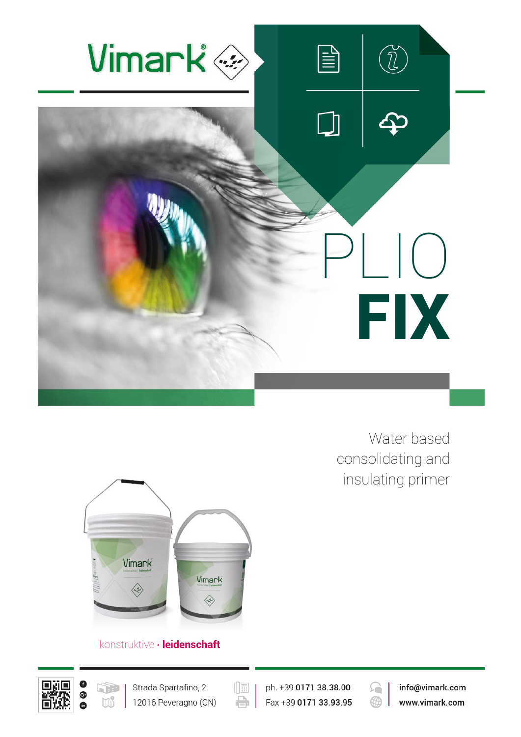

Water based consolidating and insulating primer



## konstruktive · leidenschaft





 $(\boxed{\mathbb{E}}$ ph. +39 0171 38.38.00  $\oplus$ Fax +39 0171 33.93.95



info@vimark.com www.vimark.com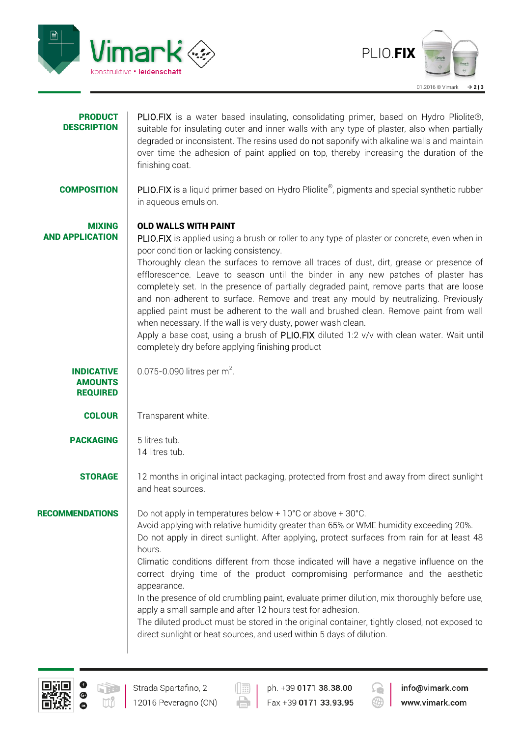



| <b>PRODUCT</b><br><b>DESCRIPTION</b>                   | PLIO.FIX is a water based insulating, consolidating primer, based on Hydro Pliolite®,<br>suitable for insulating outer and inner walls with any type of plaster, also when partially<br>degraded or inconsistent. The resins used do not saponify with alkaline walls and maintain<br>over time the adhesion of paint applied on top, thereby increasing the duration of the<br>finishing coat.                                                                                                                                                                                                                                                                                                                                                                                                                                            |
|--------------------------------------------------------|--------------------------------------------------------------------------------------------------------------------------------------------------------------------------------------------------------------------------------------------------------------------------------------------------------------------------------------------------------------------------------------------------------------------------------------------------------------------------------------------------------------------------------------------------------------------------------------------------------------------------------------------------------------------------------------------------------------------------------------------------------------------------------------------------------------------------------------------|
| <b>COMPOSITION</b>                                     | PLIO.FIX is a liquid primer based on Hydro Pliolite®, pigments and special synthetic rubber<br>in aqueous emulsion.                                                                                                                                                                                                                                                                                                                                                                                                                                                                                                                                                                                                                                                                                                                        |
| <b>MIXING</b><br><b>AND APPLICATION</b>                | OLD WALLS WITH PAINT<br>PLIO.FIX is applied using a brush or roller to any type of plaster or concrete, even when in<br>poor condition or lacking consistency.<br>Thoroughly clean the surfaces to remove all traces of dust, dirt, grease or presence of<br>efflorescence. Leave to season until the binder in any new patches of plaster has<br>completely set. In the presence of partially degraded paint, remove parts that are loose<br>and non-adherent to surface. Remove and treat any mould by neutralizing. Previously<br>applied paint must be adherent to the wall and brushed clean. Remove paint from wall<br>when necessary. If the wall is very dusty, power wash clean.<br>Apply a base coat, using a brush of PLIO.FIX diluted 1:2 v/v with clean water. Wait until<br>completely dry before applying finishing product |
| <b>INDICATIVE</b><br><b>AMOUNTS</b><br><b>REQUIRED</b> | 0.075-0.090 litres per $m^2$ .                                                                                                                                                                                                                                                                                                                                                                                                                                                                                                                                                                                                                                                                                                                                                                                                             |
| <b>COLOUR</b>                                          | Transparent white.                                                                                                                                                                                                                                                                                                                                                                                                                                                                                                                                                                                                                                                                                                                                                                                                                         |
| <b>PACKAGING</b>                                       | 5 litres tub.<br>14 litres tub.                                                                                                                                                                                                                                                                                                                                                                                                                                                                                                                                                                                                                                                                                                                                                                                                            |
| <b>STORAGE</b>                                         | 12 months in original intact packaging, protected from frost and away from direct sunlight<br>and heat sources.                                                                                                                                                                                                                                                                                                                                                                                                                                                                                                                                                                                                                                                                                                                            |
| <b>RECOMMENDATIONS</b>                                 | Do not apply in temperatures below $+10^{\circ}$ C or above $+30^{\circ}$ C.<br>Avoid applying with relative humidity greater than 65% or WME humidity exceeding 20%.<br>Do not apply in direct sunlight. After applying, protect surfaces from rain for at least 48<br>hours.<br>Climatic conditions different from those indicated will have a negative influence on the<br>correct drying time of the product compromising performance and the aesthetic<br>appearance.<br>In the presence of old crumbling paint, evaluate primer dilution, mix thoroughly before use,<br>apply a small sample and after 12 hours test for adhesion.<br>The diluted product must be stored in the original container, tightly closed, not exposed to<br>direct sunlight or heat sources, and used within 5 days of dilution.                           |



 $\left(\begin{array}{|c|}\hline \cdots \end{array}\right)$  $\oplus$ 

ph. +39 0171 38.38.00 Fax +39 0171 33.93.95